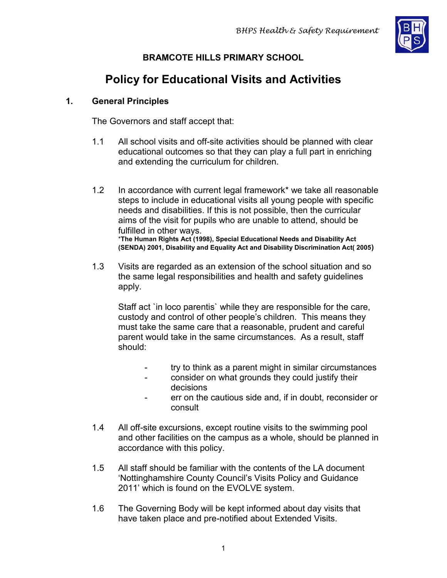

# **BRAMCOTE HILLS PRIMARY SCHOOL**

# **Policy for Educational Visits and Activities**

# **1. General Principles**

The Governors and staff accept that:

- 1.1 All school visits and off-site activities should be planned with clear educational outcomes so that they can play a full part in enriching and extending the curriculum for children.
- 1.2 In accordance with current legal framework\* we take all reasonable steps to include in educational visits all young people with specific needs and disabilities. If this is not possible, then the curricular aims of the visit for pupils who are unable to attend, should be fulfilled in other ways. \***The Human Rights Act (1998), Special Educational Needs and Disability Act (SENDA) 2001, Disability and Equality Act and Disability Discrimination Act( 2005)**
- 1.3 Visits are regarded as an extension of the school situation and so the same legal responsibilities and health and safety guidelines apply.

Staff act `in loco parentis` while they are responsible for the care, custody and control of other people's children. This means they must take the same care that a reasonable, prudent and careful parent would take in the same circumstances. As a result, staff should:

- try to think as a parent might in similar circumstances
- consider on what grounds they could justify their decisions
- err on the cautious side and, if in doubt, reconsider or consult
- 1.4 All off-site excursions, except routine visits to the swimming pool and other facilities on the campus as a whole, should be planned in accordance with this policy.
- 1.5 All staff should be familiar with the contents of the LA document 'Nottinghamshire County Council's Visits Policy and Guidance 2011' which is found on the EVOLVE system.
- 1.6 The Governing Body will be kept informed about day visits that have taken place and pre-notified about Extended Visits.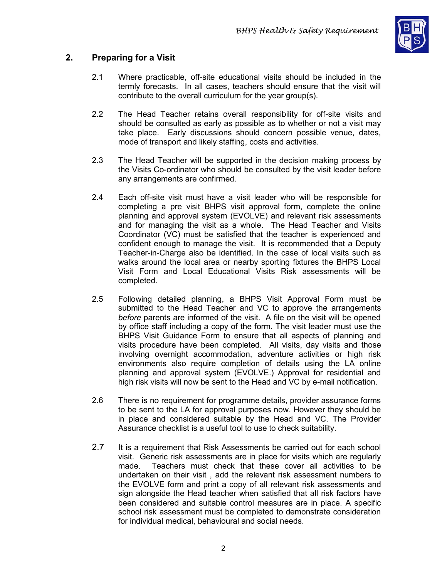

# **2. Preparing for a Visit**

- 2.1 Where practicable, off-site educational visits should be included in the termly forecasts. In all cases, teachers should ensure that the visit will contribute to the overall curriculum for the year group(s).
- 2.2 The Head Teacher retains overall responsibility for off-site visits and should be consulted as early as possible as to whether or not a visit may take place. Early discussions should concern possible venue, dates, mode of transport and likely staffing, costs and activities.
- 2.3 The Head Teacher will be supported in the decision making process by the Visits Co-ordinator who should be consulted by the visit leader before any arrangements are confirmed.
- 2.4 Each off-site visit must have a visit leader who will be responsible for completing a pre visit BHPS visit approval form, complete the online planning and approval system (EVOLVE) and relevant risk assessments and for managing the visit as a whole. The Head Teacher and Visits Coordinator (VC) must be satisfied that the teacher is experienced and confident enough to manage the visit. It is recommended that a Deputy Teacher-in-Charge also be identified. In the case of local visits such as walks around the local area or nearby sporting fixtures the BHPS Local Visit Form and Local Educational Visits Risk assessments will be completed.
- 2.5 Following detailed planning, a BHPS Visit Approval Form must be submitted to the Head Teacher and VC to approve the arrangements *before* parents are informed of the visit. A file on the visit will be opened by office staff including a copy of the form. The visit leader must use the BHPS Visit Guidance Form to ensure that all aspects of planning and visits procedure have been completed. All visits, day visits and those involving overnight accommodation, adventure activities or high risk environments also require completion of details using the LA online planning and approval system (EVOLVE.) Approval for residential and high risk visits will now be sent to the Head and VC by e-mail notification.
- 2.6 There is no requirement for programme details, provider assurance forms to be sent to the LA for approval purposes now. However they should be in place and considered suitable by the Head and VC. The Provider Assurance checklist is a useful tool to use to check suitability.
- 2.7 It is a requirement that Risk Assessments be carried out for each school visit. Generic risk assessments are in place for visits which are regularly made. Teachers must check that these cover all activities to be undertaken on their visit , add the relevant risk assessment numbers to the EVOLVE form and print a copy of all relevant risk assessments and sign alongside the Head teacher when satisfied that all risk factors have been considered and suitable control measures are in place. A specific school risk assessment must be completed to demonstrate consideration for individual medical, behavioural and social needs.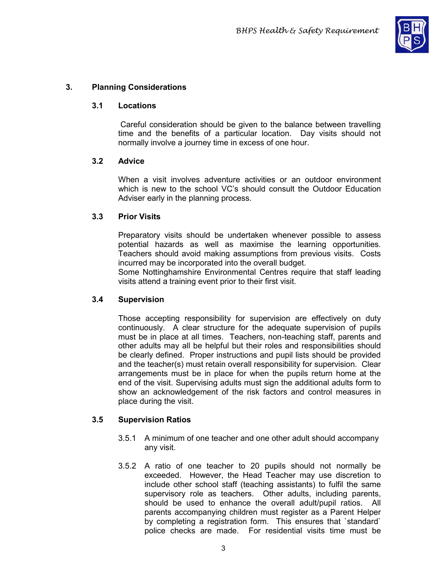

# **3. Planning Considerations**

#### **3.1 Locations**

Careful consideration should be given to the balance between travelling time and the benefits of a particular location. Day visits should not normally involve a journey time in excess of one hour.

#### **3.2 Advice**

When a visit involves adventure activities or an outdoor environment which is new to the school VC's should consult the Outdoor Education Adviser early in the planning process.

#### **3.3 Prior Visits**

Preparatory visits should be undertaken whenever possible to assess potential hazards as well as maximise the learning opportunities. Teachers should avoid making assumptions from previous visits. Costs incurred may be incorporated into the overall budget.

Some Nottinghamshire Environmental Centres require that staff leading visits attend a training event prior to their first visit.

#### **3.4 Supervision**

Those accepting responsibility for supervision are effectively on duty continuously. A clear structure for the adequate supervision of pupils must be in place at all times. Teachers, non-teaching staff, parents and other adults may all be helpful but their roles and responsibilities should be clearly defined. Proper instructions and pupil lists should be provided and the teacher(s) must retain overall responsibility for supervision. Clear arrangements must be in place for when the pupils return home at the end of the visit. Supervising adults must sign the additional adults form to show an acknowledgement of the risk factors and control measures in place during the visit.

#### **3.5 Supervision Ratios**

- 3.5.1 A minimum of one teacher and one other adult should accompany any visit.
- 3.5.2 A ratio of one teacher to 20 pupils should not normally be exceeded. However, the Head Teacher may use discretion to include other school staff (teaching assistants) to fulfil the same supervisory role as teachers. Other adults, including parents, should be used to enhance the overall adult/pupil ratios. All parents accompanying children must register as a Parent Helper by completing a registration form. This ensures that `standard` police checks are made. For residential visits time must be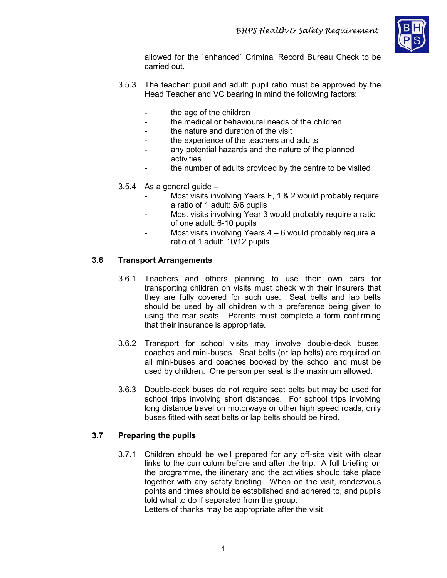

allowed for the `enhanced` Criminal Record Bureau Check to be carried out.

- 3.5.3 The teacher: pupil and adult: pupil ratio must be approved by the Head Teacher and VC bearing in mind the following factors:
	- the age of the children
	- the medical or behavioural needs of the children
	- the nature and duration of the visit
	- the experience of the teachers and adults
	- any potential hazards and the nature of the planned activities
	- the number of adults provided by the centre to be visited
- 3.5.4 As a general guide
	- Most visits involving Years F, 1 & 2 would probably require a ratio of 1 adult: 5/6 pupils
	- Most visits involving Year 3 would probably require a ratio of one adult: 6-10 pupils
	- Most visits involving Years 4 6 would probably require a ratio of 1 adult: 10/12 pupils

# **3.6 Transport Arrangements**

- 3.6.1 Teachers and others planning to use their own cars for transporting children on visits must check with their insurers that they are fully covered for such use. Seat belts and lap belts should be used by all children with a preference being given to using the rear seats. Parents must complete a form confirming that their insurance is appropriate.
- 3.6.2 Transport for school visits may involve double-deck buses, coaches and mini-buses. Seat belts (or lap belts) are required on all mini-buses and coaches booked by the school and must be used by children. One person per seat is the maximum allowed.
- 3.6.3 Double-deck buses do not require seat belts but may be used for school trips involving short distances. For school trips involving long distance travel on motorways or other high speed roads, only buses fitted with seat belts or lap belts should be hired.

# **3.7 Preparing the pupils**

3.7.1 Children should be well prepared for any off-site visit with clear links to the curriculum before and after the trip. A full briefing on the programme, the itinerary and the activities should take place together with any safety briefing. When on the visit, rendezvous points and times should be established and adhered to, and pupils told what to do if separated from the group.

Letters of thanks may be appropriate after the visit.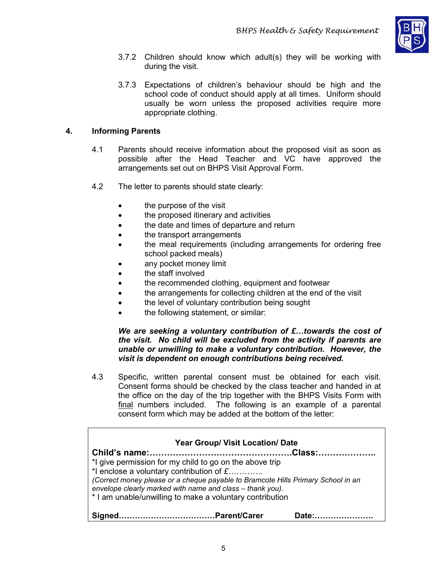

- 3.7.2 Children should know which adult(s) they will be working with during the visit.
- 3.7.3 Expectations of children's behaviour should be high and the school code of conduct should apply at all times. Uniform should usually be worn unless the proposed activities require more appropriate clothing.

#### **4. Informing Parents**

- 4.1 Parents should receive information about the proposed visit as soon as possible after the Head Teacher and VC have approved the arrangements set out on BHPS Visit Approval Form.
- 4.2 The letter to parents should state clearly:
	- the purpose of the visit
	- the proposed itinerary and activities
	- the date and times of departure and return
	- the transport arrangements
	- the meal requirements (including arrangements for ordering free school packed meals)
	- any pocket money limit
	- the staff involved
	- the recommended clothing, equipment and footwear
	- the arrangements for collecting children at the end of the visit
	- the level of voluntary contribution being sought
	- the following statement, or similar:

#### *We are seeking a voluntary contribution of £…towards the cost of the visit. No child will be excluded from the activity if parents are unable or unwilling to make a voluntary contribution. However, the visit is dependent on enough contributions being received.*

4.3 Specific, written parental consent must be obtained for each visit. Consent forms should be checked by the class teacher and handed in at the office on the day of the trip together with the BHPS Visits Form with final numbers included. The following is an example of a parental consent form which may be added at the bottom of the letter:

| <b>Year Group/ Visit Location/ Date</b>                                                                                                                                                                                                                                                                                  |  |
|--------------------------------------------------------------------------------------------------------------------------------------------------------------------------------------------------------------------------------------------------------------------------------------------------------------------------|--|
|                                                                                                                                                                                                                                                                                                                          |  |
| *I give permission for my child to go on the above trip<br>*I enclose a voluntary contribution of $\pounds$<br>(Correct money please or a cheque payable to Bramcote Hills Primary School in an<br>envelope clearly marked with name and class - thank you).<br>* I am unable/unwilling to make a voluntary contribution |  |
|                                                                                                                                                                                                                                                                                                                          |  |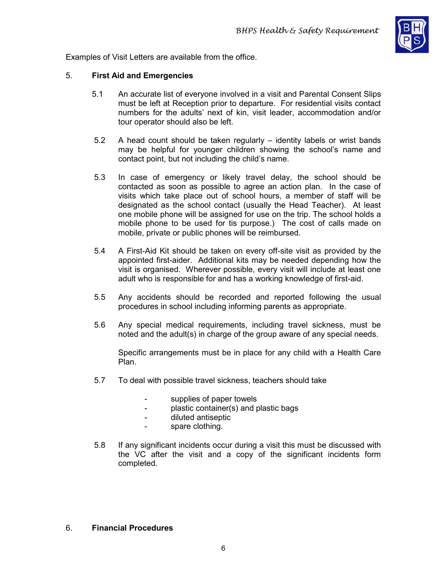

Examples of Visit Letters are available from the office.

#### 5. **First Aid and Emergencies**

- 5.1 An accurate list of everyone involved in a visit and Parental Consent Slips must be left at Reception prior to departure. For residential visits contact numbers for the adults' next of kin, visit leader, accommodation and/or tour operator should also be left.
- 5.2 A head count should be taken regularly identity labels or wrist bands may be helpful for younger children showing the school's name and contact point, but not including the child's name.
- 5.3 In case of emergency or likely travel delay, the school should be contacted as soon as possible to agree an action plan. In the case of visits which take place out of school hours, a member of staff will be designated as the school contact (usually the Head Teacher). At least one mobile phone will be assigned for use on the trip. The school holds a mobile phone to be used for tis purpose.) The cost of calls made on mobile, private or public phones will be reimbursed.
- 5.4 A First-Aid Kit should be taken on every off-site visit as provided by the appointed first-aider. Additional kits may be needed depending how the visit is organised. Wherever possible, every visit will include at least one adult who is responsible for and has a working knowledge of first-aid.
- 5.5 Any accidents should be recorded and reported following the usual procedures in school including informing parents as appropriate.
- 5.6 Any special medical requirements, including travel sickness, must be noted and the adult(s) in charge of the group aware of any special needs.

Specific arrangements must be in place for any child with a Health Care Plan.

- 5.7 To deal with possible travel sickness, teachers should take
	- supplies of paper towels
	- plastic container(s) and plastic bags
	- diluted antiseptic
	- spare clothing.
- 5.8 If any significant incidents occur during a visit this must be discussed with the VC after the visit and a copy of the significant incidents form completed.

#### 6. **Financial Procedures**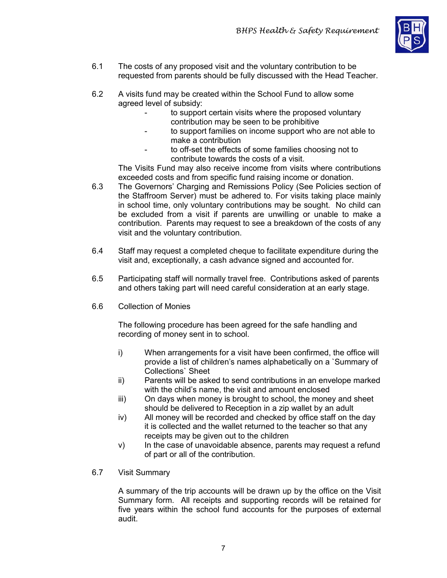

- 6.1 The costs of any proposed visit and the voluntary contribution to be requested from parents should be fully discussed with the Head Teacher.
- 6.2 A visits fund may be created within the School Fund to allow some agreed level of subsidy:
	- to support certain visits where the proposed voluntary contribution may be seen to be prohibitive
	- to support families on income support who are not able to make a contribution
	- to off-set the effects of some families choosing not to contribute towards the costs of a visit.

The Visits Fund may also receive income from visits where contributions exceeded costs and from specific fund raising income or donation.

- 6.3 The Governors' Charging and Remissions Policy (See Policies section of the Staffroom Server) must be adhered to. For visits taking place mainly in school time, only voluntary contributions may be sought. No child can be excluded from a visit if parents are unwilling or unable to make a contribution. Parents may request to see a breakdown of the costs of any visit and the voluntary contribution.
- 6.4 Staff may request a completed cheque to facilitate expenditure during the visit and, exceptionally, a cash advance signed and accounted for.
- 6.5 Participating staff will normally travel free. Contributions asked of parents and others taking part will need careful consideration at an early stage.
- 6.6 Collection of Monies

The following procedure has been agreed for the safe handling and recording of money sent in to school.

- i) When arrangements for a visit have been confirmed, the office will provide a list of children's names alphabetically on a `Summary of Collections` Sheet
- ii) Parents will be asked to send contributions in an envelope marked with the child's name, the visit and amount enclosed
- iii) On days when money is brought to school, the money and sheet should be delivered to Reception in a zip wallet by an adult
- iv) All money will be recorded and checked by office staff on the day it is collected and the wallet returned to the teacher so that any receipts may be given out to the children
- v) In the case of unavoidable absence, parents may request a refund of part or all of the contribution.
- 6.7 Visit Summary

A summary of the trip accounts will be drawn up by the office on the Visit Summary form. All receipts and supporting records will be retained for five years within the school fund accounts for the purposes of external audit.